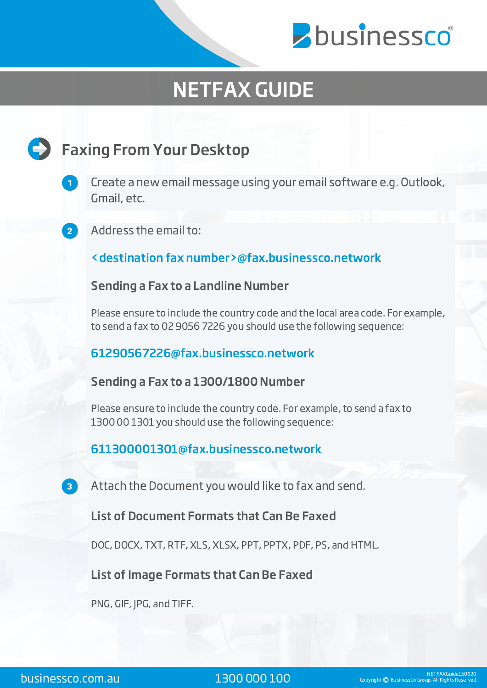

# NETFAX GUIDE

# **Faxing From Your Desktop**



Create a new email message using your email software e.g. Outlook, Gmail, etc.

Address the email to:

<destination fax number>@fax.businessco.network

Sending a Fax to a Landline Number

Please ensure to include the country code and the local area code. For example, to send a fax to 02 9056 7226 you should use the following sequence:

61290567226@fax.businessco.network

Sending a Fax to a 1300/1800 Number

Please ensure to include the country code. For example, to send a fax to 1300 00 1301 you should use the following sequence:

## 611300001301@fax.businessco.network

Attach the Document you would like to fax and send.

## List of Document Formats that Can Be Faxed

DOC, DOCX, TXT, RTF, XLS, XLSX, PPT, PPTX, PDF, PS, and HTML.

## List of Image Formats that Can Be Faxed

PNG, GIF, JPG, and TIFF.

 $\vert 3 \rangle$